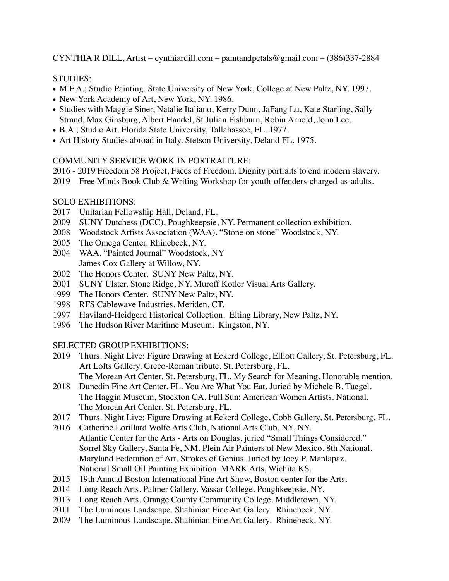CYNTHIA R DILL, Artist – cynthiardill.com – paintandpetals@gmail.com – (386)337-2884

# STUDIES:

- M.F.A.; Studio Painting. State University of New York, College at New Paltz, NY. 1997.
- New York Academy of Art, New York, NY. 1986.
- Studies with Maggie Siner, Natalie Italiano, Kerry Dunn, JaFang Lu, Kate Starling, Sally Strand, Max Ginsburg, Albert Handel, St Julian Fishburn, Robin Arnold, John Lee.
- B.A.; Studio Art. Florida State University, Tallahassee, FL. 1977.
- Art History Studies abroad in Italy. Stetson University, Deland FL. 1975.

# COMMUNITY SERVICE WORK IN PORTRAITURE:

- 2016 2019 Freedom 58 Project, Faces of Freedom. Dignity portraits to end modern slavery.
- 2019 Free Minds Book Club & Writing Workshop for youth-offenders-charged-as-adults.

# SOLO EXHIBITIONS:

- 2017 Unitarian Fellowship Hall, Deland, FL.
- 2009 SUNY Dutchess (DCC), Poughkeepsie, NY. Permanent collection exhibition.
- 2008 Woodstock Artists Association (WAA). "Stone on stone" Woodstock, NY.
- 2005 The Omega Center. Rhinebeck, NY.
- 2004 WAA. "Painted Journal" Woodstock, NY James Cox Gallery at Willow, NY.
- 2002 The Honors Center. SUNY New Paltz, NY.
- 2001 SUNY Ulster. Stone Ridge, NY. Muroff Kotler Visual Arts Gallery.
- 1999 The Honors Center. SUNY New Paltz, NY.
- 1998 RFS Cablewave Industries. Meriden, CT.
- 1997 Haviland-Heidgerd Historical Collection. Elting Library, New Paltz, NY.
- 1996 The Hudson River Maritime Museum. Kingston, NY.

# SELECTED GROUP EXHIBITIONS:

- 2019 Thurs. Night Live: Figure Drawing at Eckerd College, Elliott Gallery, St. Petersburg, FL. Art Lofts Gallery. Greco-Roman tribute. St. Petersburg, FL. The Morean Art Center. St. Petersburg, FL. My Search for Meaning. Honorable mention.
- 2018 Dunedin Fine Art Center, FL. You Are What You Eat. Juried by Michele B. Tuegel. The Haggin Museum, Stockton CA. Full Sun: American Women Artists. National. The Morean Art Center. St. Petersburg, FL.
- 2017 Thurs. Night Live: Figure Drawing at Eckerd College, Cobb Gallery, St. Petersburg, FL.
- 2016 Catherine Lorillard Wolfe Arts Club, National Arts Club, NY, NY. Atlantic Center for the Arts - Arts on Douglas, juried "Small Things Considered." Sorrel Sky Gallery, Santa Fe, NM. Plein Air Painters of New Mexico, 8th National. Maryland Federation of Art. Strokes of Genius. Juried by Joey P. Manlapaz. National Small Oil Painting Exhibition. MARK Arts, Wichita KS.
- 2015 19th Annual Boston International Fine Art Show, Boston center for the Arts.
- 2014 Long Reach Arts. Palmer Gallery, Vassar College. Poughkeepsie, NY.
- 2013 Long Reach Arts. Orange County Community College. Middletown, NY.
- 2011 The Luminous Landscape. Shahinian Fine Art Gallery. Rhinebeck, NY.
- 2009 The Luminous Landscape. Shahinian Fine Art Gallery. Rhinebeck, NY.